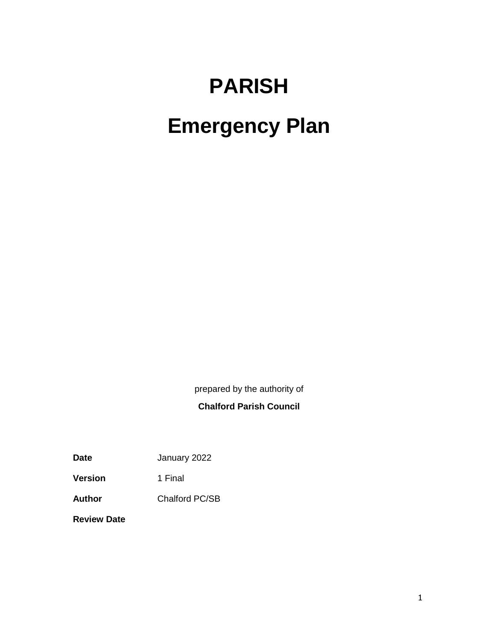# **PARISH Emergency Plan**

prepared by the authority of

# **Chalford Parish Council**

**Date** January 2022

**Version** 1 Final

**Author** Chalford PC/SB

**Review Date**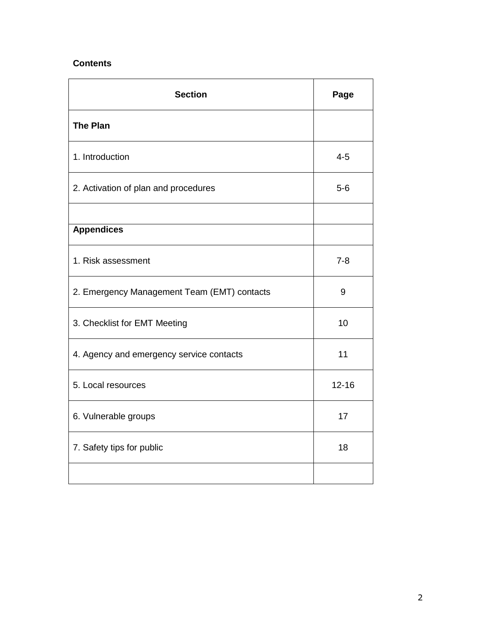## **Contents**

| <b>Section</b>                              | Page      |
|---------------------------------------------|-----------|
| <b>The Plan</b>                             |           |
| 1. Introduction                             | $4 - 5$   |
| 2. Activation of plan and procedures        | $5-6$     |
|                                             |           |
| <b>Appendices</b>                           |           |
| 1. Risk assessment                          | $7 - 8$   |
| 2. Emergency Management Team (EMT) contacts | 9         |
| 3. Checklist for EMT Meeting                | 10        |
| 4. Agency and emergency service contacts    | 11        |
| 5. Local resources                          | $12 - 16$ |
| 6. Vulnerable groups                        | 17        |
| 7. Safety tips for public                   | 18        |
|                                             |           |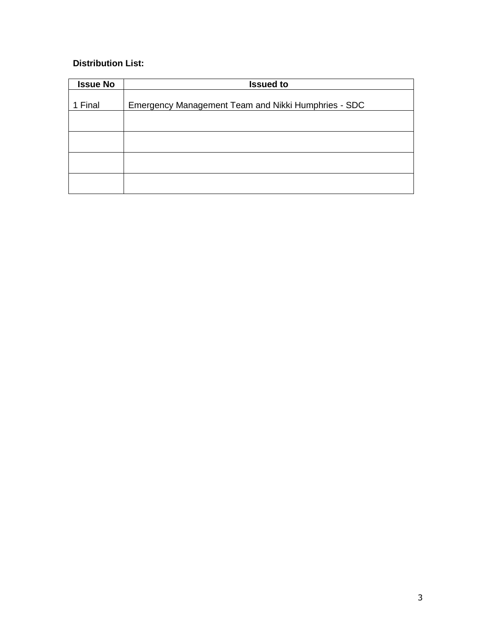# **Distribution List:**

| <b>Issue No</b> | <b>Issued to</b>                                    |
|-----------------|-----------------------------------------------------|
|                 |                                                     |
| 1 Final         | Emergency Management Team and Nikki Humphries - SDC |
|                 |                                                     |
|                 |                                                     |
|                 |                                                     |
|                 |                                                     |
|                 |                                                     |
|                 |                                                     |
|                 |                                                     |
|                 |                                                     |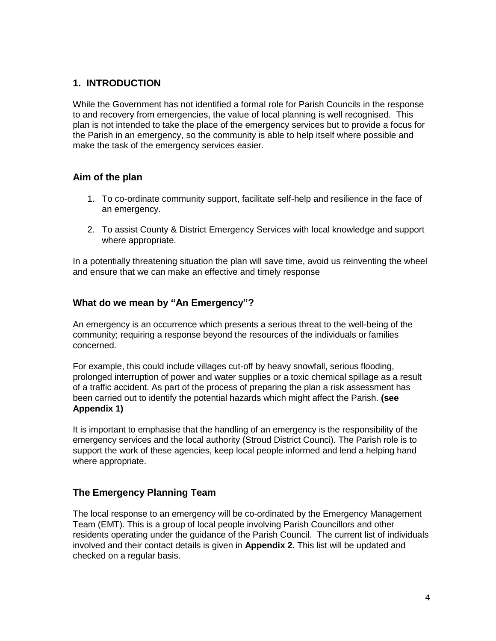# **1. INTRODUCTION**

While the Government has not identified a formal role for Parish Councils in the response to and recovery from emergencies, the value of local planning is well recognised. This plan is not intended to take the place of the emergency services but to provide a focus for the Parish in an emergency, so the community is able to help itself where possible and make the task of the emergency services easier.

## **Aim of the plan**

- 1. To co-ordinate community support, facilitate self-help and resilience in the face of an emergency.
- 2. To assist County & District Emergency Services with local knowledge and support where appropriate.

In a potentially threatening situation the plan will save time, avoid us reinventing the wheel and ensure that we can make an effective and timely response

# **What do we mean by "An Emergency"?**

An emergency is an occurrence which presents a serious threat to the well-being of the community; requiring a response beyond the resources of the individuals or families concerned.

For example, this could include villages cut-off by heavy snowfall, serious flooding, prolonged interruption of power and water supplies or a toxic chemical spillage as a result of a traffic accident. As part of the process of preparing the plan a risk assessment has been carried out to identify the potential hazards which might affect the Parish. **(see Appendix 1)**

It is important to emphasise that the handling of an emergency is the responsibility of the emergency services and the local authority (Stroud District Counci). The Parish role is to support the work of these agencies, keep local people informed and lend a helping hand where appropriate.

# **The Emergency Planning Team**

The local response to an emergency will be co-ordinated by the Emergency Management Team (EMT). This is a group of local people involving Parish Councillors and other residents operating under the guidance of the Parish Council. The current list of individuals involved and their contact details is given in **Appendix 2.** This list will be updated and checked on a regular basis.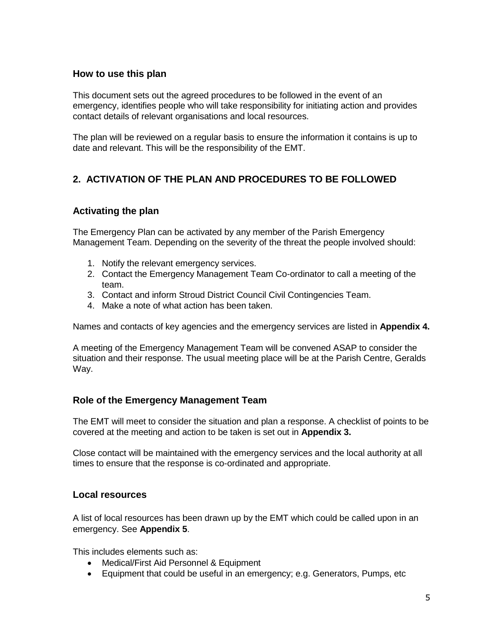#### **How to use this plan**

This document sets out the agreed procedures to be followed in the event of an emergency, identifies people who will take responsibility for initiating action and provides contact details of relevant organisations and local resources.

The plan will be reviewed on a regular basis to ensure the information it contains is up to date and relevant. This will be the responsibility of the EMT.

# **2. ACTIVATION OF THE PLAN AND PROCEDURES TO BE FOLLOWED**

## **Activating the plan**

The Emergency Plan can be activated by any member of the Parish Emergency Management Team. Depending on the severity of the threat the people involved should:

- 1. Notify the relevant emergency services.
- 2. Contact the Emergency Management Team Co-ordinator to call a meeting of the team.
- 3. Contact and inform Stroud District Council Civil Contingencies Team.
- 4. Make a note of what action has been taken.

Names and contacts of key agencies and the emergency services are listed in **Appendix 4.**

A meeting of the Emergency Management Team will be convened ASAP to consider the situation and their response. The usual meeting place will be at the Parish Centre, Geralds Way.

## **Role of the Emergency Management Team**

The EMT will meet to consider the situation and plan a response. A checklist of points to be covered at the meeting and action to be taken is set out in **Appendix 3.**

Close contact will be maintained with the emergency services and the local authority at all times to ensure that the response is co-ordinated and appropriate.

#### **Local resources**

A list of local resources has been drawn up by the EMT which could be called upon in an emergency. See **Appendix 5**.

This includes elements such as:

- Medical/First Aid Personnel & Equipment
- Equipment that could be useful in an emergency; e.g. Generators, Pumps, etc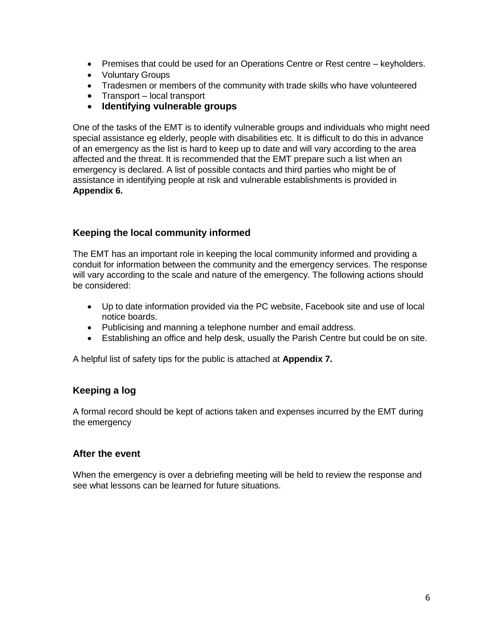- Premises that could be used for an Operations Centre or Rest centre keyholders.
- Voluntary Groups
- Tradesmen or members of the community with trade skills who have volunteered
- Transport local transport
- **Identifying vulnerable groups**

One of the tasks of the EMT is to identify vulnerable groups and individuals who might need special assistance eg elderly, people with disabilities etc. It is difficult to do this in advance of an emergency as the list is hard to keep up to date and will vary according to the area affected and the threat. It is recommended that the EMT prepare such a list when an emergency is declared. A list of possible contacts and third parties who might be of assistance in identifying people at risk and vulnerable establishments is provided in **Appendix 6.** 

# **Keeping the local community informed**

The EMT has an important role in keeping the local community informed and providing a conduit for information between the community and the emergency services. The response will vary according to the scale and nature of the emergency. The following actions should be considered:

- Up to date information provided via the PC website, Facebook site and use of local notice boards.
- Publicising and manning a telephone number and email address.
- Establishing an office and help desk, usually the Parish Centre but could be on site.

A helpful list of safety tips for the public is attached at **Appendix 7.**

## **Keeping a log**

A formal record should be kept of actions taken and expenses incurred by the EMT during the emergency

#### **After the event**

When the emergency is over a debriefing meeting will be held to review the response and see what lessons can be learned for future situations.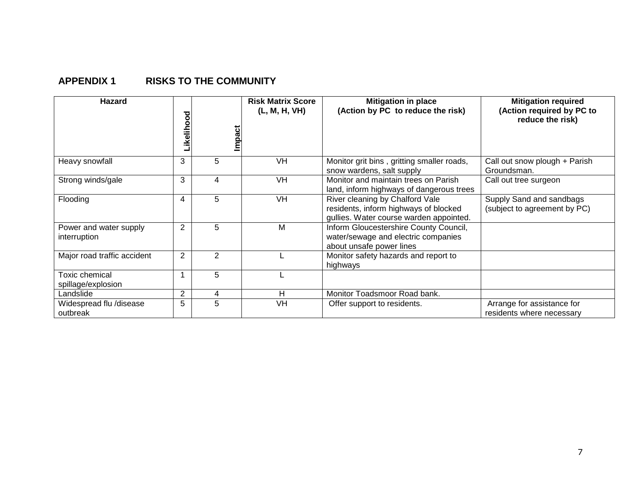# **APPENDIX 1 RISKS TO THE COMMUNITY**

| <b>Hazard</b>                               | ਠ<br>O<br>٥<br>ikelih | Impact         | <b>Risk Matrix Score</b><br>(L, M, H, VH) | <b>Mitigation in place</b><br>(Action by PC to reduce the risk)                                                     | <b>Mitigation required</b><br>(Action required by PC to<br>reduce the risk) |
|---------------------------------------------|-----------------------|----------------|-------------------------------------------|---------------------------------------------------------------------------------------------------------------------|-----------------------------------------------------------------------------|
| Heavy snowfall                              | 3                     | 5              | VH                                        | Monitor grit bins, gritting smaller roads,<br>snow wardens, salt supply                                             | Call out snow plough + Parish<br>Groundsman.                                |
| Strong winds/gale                           | 3                     | 4              | VH                                        | Monitor and maintain trees on Parish<br>land, inform highways of dangerous trees                                    | Call out tree surgeon                                                       |
| Flooding                                    | 4                     | 5              | VH                                        | River cleaning by Chalford Vale<br>residents, inform highways of blocked<br>gullies. Water course warden appointed. | Supply Sand and sandbags<br>(subject to agreement by PC)                    |
| Power and water supply<br>interruption      | $\overline{2}$        | 5              | M                                         | Inform Gloucestershire County Council,<br>water/sewage and electric companies<br>about unsafe power lines           |                                                                             |
| Major road traffic accident                 | 2                     | $\overline{2}$ |                                           | Monitor safety hazards and report to<br>highways                                                                    |                                                                             |
| <b>Toxic chemical</b><br>spillage/explosion |                       | 5              |                                           |                                                                                                                     |                                                                             |
| Landslide                                   | 2                     | 4              | н                                         | Monitor Toadsmoor Road bank.                                                                                        |                                                                             |
| Widespread flu /disease<br>outbreak         | 5                     | 5              | VH                                        | Offer support to residents.                                                                                         | Arrange for assistance for<br>residents where necessary                     |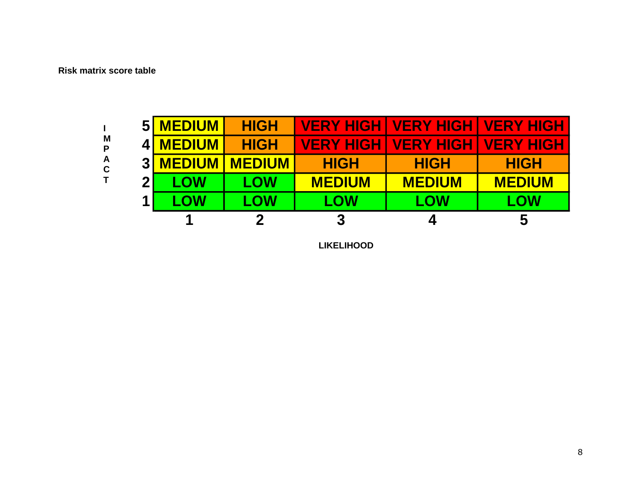#### **Risk matrix score table**



**LIKELIHOOD**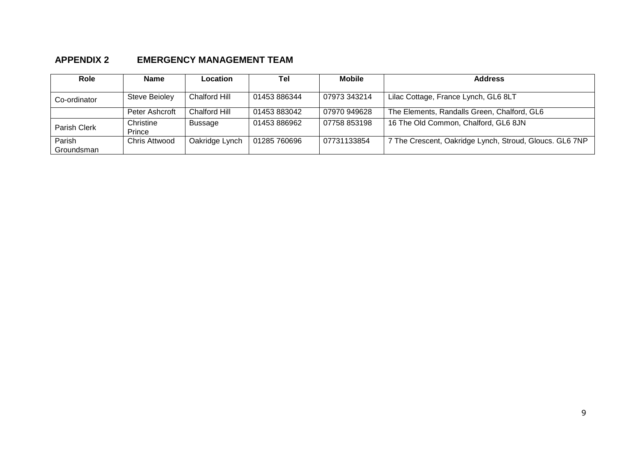# **APPENDIX 2 EMERGENCY MANAGEMENT TEAM**

| <b>Role</b>          | <b>Name</b>         | Location             | Tel          | <b>Mobile</b> | <b>Address</b>                                          |
|----------------------|---------------------|----------------------|--------------|---------------|---------------------------------------------------------|
| Co-ordinator         | Steve Beioley       | <b>Chalford Hill</b> | 01453 886344 | 07973 343214  | Lilac Cottage, France Lynch, GL6 8LT                    |
|                      | Peter Ashcroft      | Chalford Hill        | 01453 883042 | 07970 949628  | The Elements, Randalls Green, Chalford, GL6             |
| Parish Clerk         | Christine<br>Prince | Bussage              | 01453886962  | 07758 853198  | 16 The Old Common, Chalford, GL6 8JN                    |
| Parish<br>Groundsman | Chris Attwood       | Oakridge Lynch       | 01285 760696 | 07731133854   | 7 The Crescent, Oakridge Lynch, Stroud, Gloucs. GL6 7NP |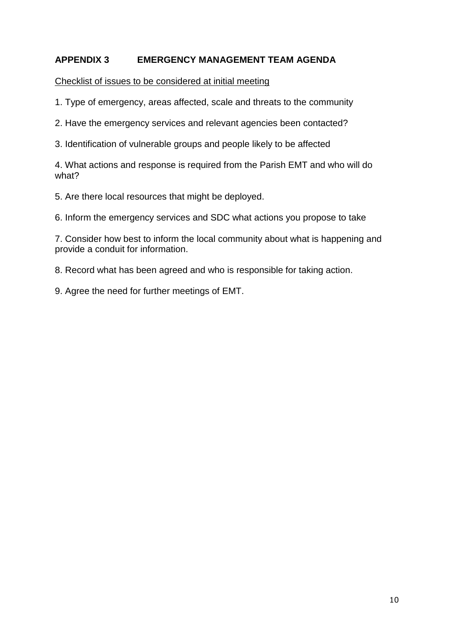# **APPENDIX 3 EMERGENCY MANAGEMENT TEAM AGENDA**

Checklist of issues to be considered at initial meeting

1. Type of emergency, areas affected, scale and threats to the community

2. Have the emergency services and relevant agencies been contacted?

3. Identification of vulnerable groups and people likely to be affected

4. What actions and response is required from the Parish EMT and who will do what?

5. Are there local resources that might be deployed.

6. Inform the emergency services and SDC what actions you propose to take

7. Consider how best to inform the local community about what is happening and provide a conduit for information.

8. Record what has been agreed and who is responsible for taking action.

9. Agree the need for further meetings of EMT.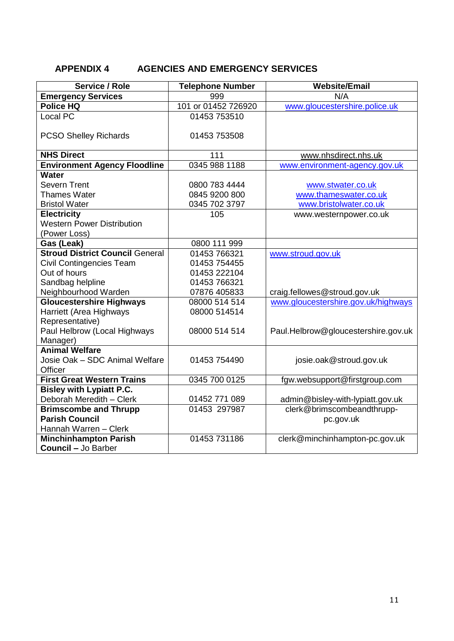# **APPENDIX 4 AGENCIES AND EMERGENCY SERVICES**

| Service / Role                         | <b>Telephone Number</b> | <b>Website/Email</b>                |
|----------------------------------------|-------------------------|-------------------------------------|
| <b>Emergency Services</b>              | 999                     | N/A                                 |
| Police HQ                              | 101 or 01452 726920     | www.gloucestershire.police.uk       |
| Local PC                               | 01453 753510            |                                     |
| <b>PCSO Shelley Richards</b>           | 01453 753508            |                                     |
|                                        |                         |                                     |
| <b>NHS Direct</b>                      | 111                     | www.nhsdirect.nhs.uk                |
| <b>Environment Agency Floodline</b>    | 0345 988 1188           | www.environment-agency.gov.uk       |
| <b>Water</b>                           |                         |                                     |
| <b>Severn Trent</b>                    | 0800 783 4444           | www.stwater.co.uk                   |
| <b>Thames Water</b>                    | 0845 9200 800           | www.thameswater.co.uk               |
| <b>Bristol Water</b>                   | 0345 702 3797           | www.bristolwater.co.uk              |
| <b>Electricity</b>                     | 105                     | www.westernpower.co.uk              |
| <b>Western Power Distribution</b>      |                         |                                     |
| (Power Loss)                           |                         |                                     |
| Gas (Leak)                             | 0800 111 999            |                                     |
| <b>Stroud District Council General</b> | 01453 766321            | www.stroud.gov.uk                   |
| <b>Civil Contingencies Team</b>        | 01453 754455            |                                     |
| Out of hours                           | 01453 222104            |                                     |
| Sandbag helpline                       | 01453 766321            |                                     |
| Neighbourhood Warden                   | 07876 405833            | craig.fellowes@stroud.gov.uk        |
| <b>Gloucestershire Highways</b>        | 08000 514 514           | www.gloucestershire.gov.uk/highways |
| Harriett (Area Highways                | 08000 514514            |                                     |
| Representative)                        |                         |                                     |
| Paul Helbrow (Local Highways           | 08000 514 514           | Paul.Helbrow@gloucestershire.gov.uk |
| Manager)                               |                         |                                     |
| <b>Animal Welfare</b>                  |                         |                                     |
| Josie Oak - SDC Animal Welfare         | 01453 754490            | josie.oak@stroud.gov.uk             |
| Officer                                |                         |                                     |
| <b>First Great Western Trains</b>      | 0345 700 0125           | fgw.websupport@firstgroup.com       |
| <b>Bisley with Lypiatt P.C.</b>        |                         |                                     |
| Deborah Meredith - Clerk               | 01452 771 089           | admin@bisley-with-lypiatt.gov.uk    |
| <b>Brimscombe and Thrupp</b>           | 01453 297987            | clerk@brimscombeandthrupp-          |
| <b>Parish Council</b>                  |                         | pc.gov.uk                           |
| Hannah Warren - Clerk                  |                         |                                     |
| <b>Minchinhampton Parish</b>           | 01453 731186            | clerk@minchinhampton-pc.gov.uk      |
| <b>Council - Jo Barber</b>             |                         |                                     |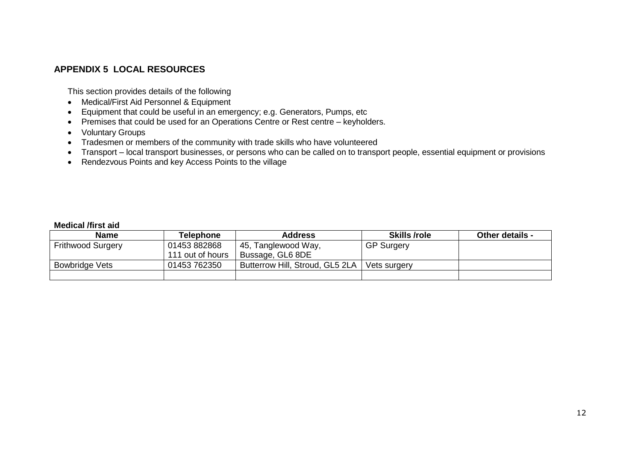# **APPENDIX 5 LOCAL RESOURCES**

This section provides details of the following

- Medical/First Aid Personnel & Equipment
- Equipment that could be useful in an emergency; e.g. Generators, Pumps, etc
- Premises that could be used for an Operations Centre or Rest centre keyholders.
- Voluntary Groups
- Tradesmen or members of the community with trade skills who have volunteered
- Transport local transport businesses, or persons who can be called on to transport people, essential equipment or provisions
- Rendezvous Points and key Access Points to the village

#### **Medical /first aid**

| <b>Name</b>              | Telephone        | <b>Address</b>                  | <b>Skills /role</b> | Other details - |
|--------------------------|------------------|---------------------------------|---------------------|-----------------|
| <b>Frithwood Surgery</b> | 01453882868      | 45, Tanglewood Way,             | <b>GP Surgery</b>   |                 |
|                          | 111 out of hours | Bussage, GL6 8DE                |                     |                 |
| <b>Bowbridge Vets</b>    | 01453 762350     | Butterrow Hill, Stroud, GL5 2LA | Vets surgery        |                 |
|                          |                  |                                 |                     |                 |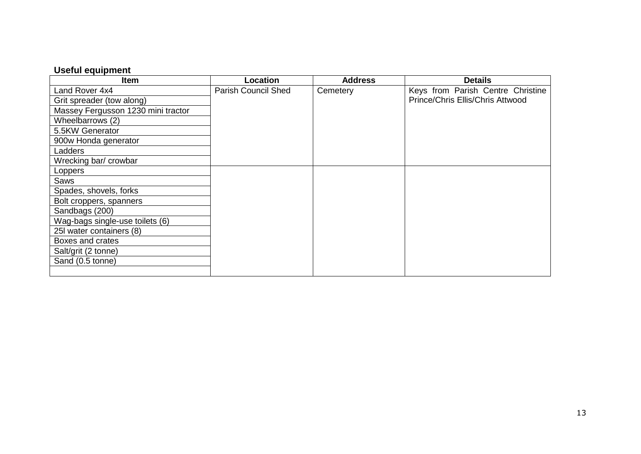# **Useful equipment**

| <b>Item</b>                        | Location                   | <b>Address</b> | <b>Details</b>                    |
|------------------------------------|----------------------------|----------------|-----------------------------------|
| Land Rover 4x4                     | <b>Parish Council Shed</b> | Cemetery       | Keys from Parish Centre Christine |
| Grit spreader (tow along)          |                            |                | Prince/Chris Ellis/Chris Attwood  |
| Massey Fergusson 1230 mini tractor |                            |                |                                   |
| Wheelbarrows (2)                   |                            |                |                                   |
| 5.5KW Generator                    |                            |                |                                   |
| 900w Honda generator               |                            |                |                                   |
| Ladders                            |                            |                |                                   |
| Wrecking bar/ crowbar              |                            |                |                                   |
| Loppers                            |                            |                |                                   |
| Saws                               |                            |                |                                   |
| Spades, shovels, forks             |                            |                |                                   |
| Bolt croppers, spanners            |                            |                |                                   |
| Sandbags (200)                     |                            |                |                                   |
| Wag-bags single-use toilets (6)    |                            |                |                                   |
| 25I water containers (8)           |                            |                |                                   |
| Boxes and crates                   |                            |                |                                   |
| Salt/grit (2 tonne)                |                            |                |                                   |
| Sand (0.5 tonne)                   |                            |                |                                   |
|                                    |                            |                |                                   |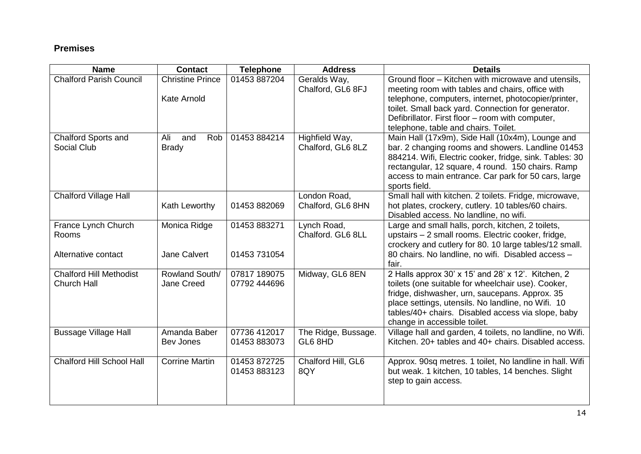# **Premises**

| <b>Name</b>                                          | <b>Contact</b>                         | <b>Telephone</b>             | <b>Address</b>                      | <b>Details</b>                                                                                                                                                                                                                                                                                                    |
|------------------------------------------------------|----------------------------------------|------------------------------|-------------------------------------|-------------------------------------------------------------------------------------------------------------------------------------------------------------------------------------------------------------------------------------------------------------------------------------------------------------------|
| <b>Chalford Parish Council</b>                       | <b>Christine Prince</b><br>Kate Arnold | 01453 887204                 | Geralds Way,<br>Chalford, GL6 8FJ   | Ground floor - Kitchen with microwave and utensils,<br>meeting room with tables and chairs, office with<br>telephone, computers, internet, photocopier/printer,<br>toilet. Small back yard. Connection for generator.<br>Defibrillator. First floor - room with computer,<br>telephone, table and chairs. Toilet. |
| Chalford Sports and<br>Social Club                   | Ali<br>Rob<br>and<br><b>Brady</b>      | 01453 884214                 | Highfield Way,<br>Chalford, GL6 8LZ | Main Hall (17x9m), Side Hall (10x4m), Lounge and<br>bar. 2 changing rooms and showers. Landline 01453<br>884214. Wifi, Electric cooker, fridge, sink. Tables: 30<br>rectangular, 12 square, 4 round. 150 chairs. Ramp<br>access to main entrance. Car park for 50 cars, large<br>sports field.                    |
| <b>Chalford Village Hall</b>                         | Kath Leworthy                          | 01453 882069                 | London Road,<br>Chalford, GL6 8HN   | Small hall with kitchen. 2 toilets. Fridge, microwave,<br>hot plates, crockery, cutlery. 10 tables/60 chairs.<br>Disabled access. No landline, no wifi.                                                                                                                                                           |
| France Lynch Church<br>Rooms<br>Alternative contact  | Monica Ridge<br>Jane Calvert           | 01453 883271<br>01453 731054 | Lynch Road,<br>Chalford, GL6 8LL    | Large and small halls, porch, kitchen, 2 toilets,<br>upstairs - 2 small rooms. Electric cooker, fridge,<br>crockery and cutlery for 80. 10 large tables/12 small.<br>80 chairs. No landline, no wifi. Disabled access -<br>fair.                                                                                  |
| <b>Chalford Hill Methodist</b><br><b>Church Hall</b> | Rowland South/<br>Jane Creed           | 07817 189075<br>07792 444696 | Midway, GL6 8EN                     | 2 Halls approx 30' x 15' and 28' x 12'. Kitchen, 2<br>toilets (one suitable for wheelchair use). Cooker,<br>fridge, dishwasher, urn, saucepans. Approx. 35<br>place settings, utensils. No landline, no Wifi. 10<br>tables/40+ chairs. Disabled access via slope, baby<br>change in accessible toilet.            |
| <b>Bussage Village Hall</b>                          | Amanda Baber<br>Bev Jones              | 07736 412017<br>01453 883073 | The Ridge, Bussage.<br>GL6 8HD      | Village hall and garden, 4 toilets, no landline, no Wifi.<br>Kitchen. 20+ tables and 40+ chairs. Disabled access.                                                                                                                                                                                                 |
| <b>Chalford Hill School Hall</b>                     | <b>Corrine Martin</b>                  | 01453 872725<br>01453 883123 | Chalford Hill, GL6<br>8QY           | Approx. 90sq metres. 1 toilet, No landline in hall. Wifi<br>but weak. 1 kitchen, 10 tables, 14 benches. Slight<br>step to gain access.                                                                                                                                                                            |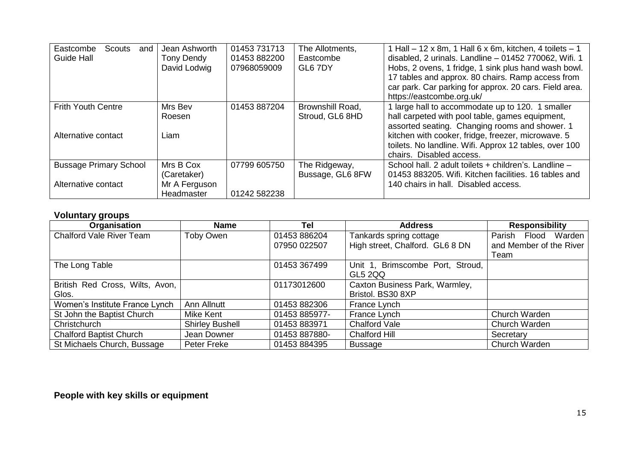| Eastcombe<br>Scouts<br>and<br>Guide Hall             | Jean Ashworth<br><b>Tony Dendy</b><br>David Lodwig      | 01453 731713<br>01453 882200<br>07968059009 | The Allotments,<br>Eastcombe<br>GL6 7DY | 1 Hall $-$ 12 x 8m, 1 Hall 6 x 6m, kitchen, 4 toilets $-$ 1<br>disabled, 2 urinals. Landline - 01452 770062, Wifi. 1<br>Hobs, 2 ovens, 1 fridge, 1 sink plus hand wash bowl.<br>17 tables and approx. 80 chairs. Ramp access from<br>car park. Car parking for approx. 20 cars. Field area.<br>https://eastcombe.org.uk/ |
|------------------------------------------------------|---------------------------------------------------------|---------------------------------------------|-----------------------------------------|--------------------------------------------------------------------------------------------------------------------------------------------------------------------------------------------------------------------------------------------------------------------------------------------------------------------------|
| <b>Frith Youth Centre</b><br>Alternative contact     | Mrs Bev<br>Roesen<br>Liam                               | 01453 887204                                | Brownshill Road,<br>Stroud, GL6 8HD     | 1 large hall to accommodate up to 120. 1 smaller<br>hall carpeted with pool table, games equipment,<br>assorted seating. Changing rooms and shower. 1<br>kitchen with cooker, fridge, freezer, microwave. 5<br>toilets. No landline. Wifi. Approx 12 tables, over 100<br>chairs. Disabled access.                        |
| <b>Bussage Primary School</b><br>Alternative contact | Mrs B Cox<br>(Caretaker)<br>Mr A Ferguson<br>Headmaster | 07799 605750<br>01242 582238                | The Ridgeway,<br>Bussage, GL6 8FW       | School hall. 2 adult toilets + children's. Landline -<br>01453 883205. Wifi. Kitchen facilities. 16 tables and<br>140 chairs in hall. Disabled access.                                                                                                                                                                   |

# **Voluntary groups**

| Organisation                    | <b>Name</b>            | Tel           | <b>Address</b>                   | <b>Responsibility</b>     |
|---------------------------------|------------------------|---------------|----------------------------------|---------------------------|
| <b>Chalford Vale River Team</b> | Toby Owen              | 01453 886204  | Tankards spring cottage          | Flood<br>Warden<br>Parish |
|                                 |                        | 07950 022507  | High street, Chalford. GL6 8 DN  | and Member of the River   |
|                                 |                        |               |                                  | Team                      |
| The Long Table                  |                        | 01453 367499  | Unit 1, Brimscombe Port, Stroud, |                           |
|                                 |                        |               | GL5 2QQ                          |                           |
| British Red Cross, Wilts, Avon, |                        | 01173012600   | Caxton Business Park, Warmley,   |                           |
| Glos.                           |                        |               | Bristol. BS30 8XP                |                           |
| Women's Institute France Lynch  | Ann Allnutt            | 01453 882306  | France Lynch                     |                           |
| St John the Baptist Church      | Mike Kent              | 01453 885977- | France Lynch                     | Church Warden             |
| Christchurch                    | <b>Shirley Bushell</b> | 01453 883971  | Chalford Vale                    | Church Warden             |
| <b>Chalford Baptist Church</b>  | Jean Downer            | 01453 887880- | Chalford Hill                    | Secretary                 |
| St Michaels Church, Bussage     | Peter Freke            | 01453 884395  | <b>Bussage</b>                   | Church Warden             |

# **People with key skills or equipment**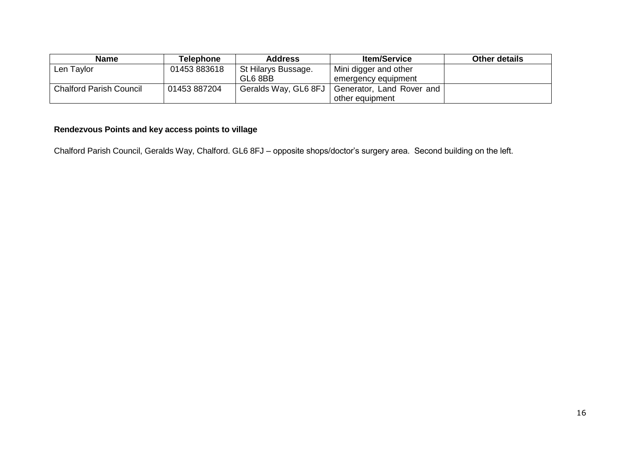| <b>Name</b>                    | Telephone    | <b>Address</b>       | <b>Item/Service</b>       | <b>Other details</b> |
|--------------------------------|--------------|----------------------|---------------------------|----------------------|
| Len Taylor                     | 01453883618  | St Hilarys Bussage.  | Mini digger and other     |                      |
|                                |              | GL6 8BB              | emergency equipment       |                      |
| <b>Chalford Parish Council</b> | 01453 887204 | Geralds Way, GL6 8FJ | Generator, Land Rover and |                      |
|                                |              |                      | other equipment           |                      |

# **Rendezvous Points and key access points to village**

Chalford Parish Council, Geralds Way, Chalford. GL6 8FJ – opposite shops/doctor's surgery area. Second building on the left.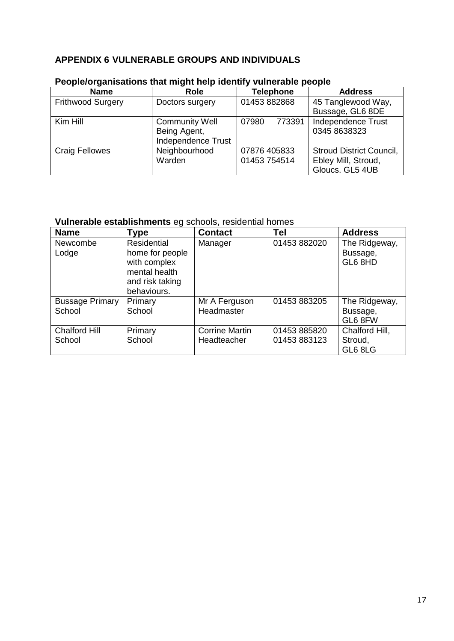# **APPENDIX 6 VULNERABLE GROUPS AND INDIVIDUALS**

| <b>Name</b>              | <b>Role</b>           | <b>Telephone</b> | <b>Address</b>                  |
|--------------------------|-----------------------|------------------|---------------------------------|
| <b>Frithwood Surgery</b> | Doctors surgery       | 01453 882868     | 45 Tanglewood Way,              |
|                          |                       |                  | Bussage, GL6 8DE                |
| Kim Hill                 | <b>Community Well</b> | 07980<br>773391  | Independence Trust              |
|                          | Being Agent,          |                  | 0345 8638323                    |
|                          | Independence Trust    |                  |                                 |
| <b>Craig Fellowes</b>    | Neighbourhood         | 07876 405833     | <b>Stroud District Council,</b> |
|                          | Warden                | 01453 754514     | Ebley Mill, Stroud,             |
|                          |                       |                  | Gloucs. GL5 4UB                 |

# **People/organisations that might help identify vulnerable people**

# **Vulnerable establishments** eg schools, residential homes

| <b>Name</b>                      | <b>Type</b>                                                     | <b>Contact</b>                       | <b>Tel</b>                   | <b>Address</b>                       |
|----------------------------------|-----------------------------------------------------------------|--------------------------------------|------------------------------|--------------------------------------|
| Newcombe<br>Lodge                | Residential<br>home for people<br>with complex<br>mental health | Manager                              | 01453 882020                 | The Ridgeway,<br>Bussage,<br>GL6 8HD |
|                                  | and risk taking<br>behaviours.                                  |                                      |                              |                                      |
| <b>Bussage Primary</b><br>School | Primary<br>School                                               | Mr A Ferguson<br>Headmaster          | 01453 883205                 | The Ridgeway,<br>Bussage,<br>GL6 8FW |
| <b>Chalford Hill</b><br>School   | Primary<br>School                                               | <b>Corrine Martin</b><br>Headteacher | 01453 885820<br>01453 883123 | Chalford Hill,<br>Stroud,<br>GL6 8LG |